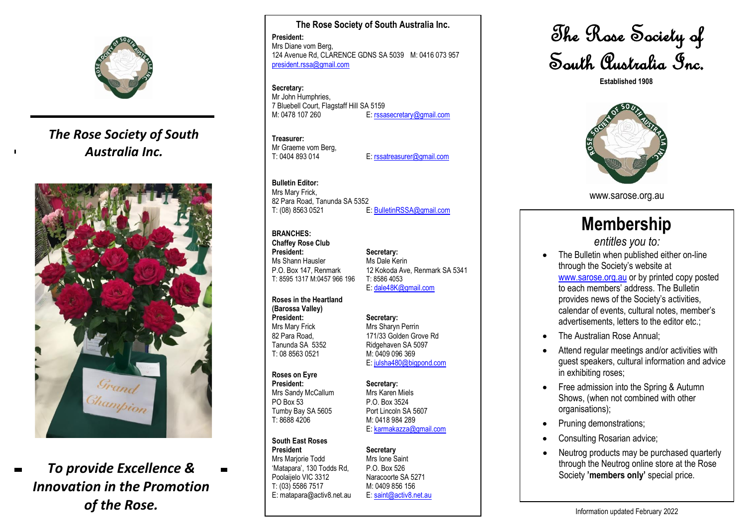

## *The Rose Society of South Australia Inc.*



# *To provide Excellence & Innovation in the Promotion of the Rose .*

**The Rose Society of South Australia Inc . President :** Mr s Diane vom Berg, 124 Avenue Rd, CLARENCE GDNS SA 5039 M: 0416 073 957 [president.rssa@gmail.com](mailto:president.rssa@gmail.com)

**Secretary :** Mr John Humphries, 7 Bluebell Court, Flagstaff Hill SA 5 1 5 9 M: 0478 107 260 E: [rssasecretary@gmail.com](mailto:rssasecretary@gmail.com)

**Treasurer :** Mr Graeme vom Berg,

T: 0404 893 014 E: [rssatreasurer@gmail.com](mailto:rssatreasurer@gmail.com)

#### **Bulletin Editor :** Mrs Mary Frick, 82 Para Roa d, Tanunda SA 5352 T: (08) 8563 0521 E: [BulletinRSSA@gmail.com](mailto:BulletinRSSA@gmail.com)

#### **BRANCHES :**

**Chaffey Rose Club** Ms Shann Hausler Ms Dale Kerin T: 8595 131 7 M:0457 966 196 T: 8586 4053

**Roses in the Heartland (Barossa Valley) President**

**President: Secretary:** P.O. Box 147, Renmark 12 Kokoda Ave, Renmark SA 5341<br>T: 8595 1317 M:0457 966 196 T: 8586 4053 E: [dale48K@gmail.com](mailto:dale48K@gmail.com)

# **: Secretary :**

Mrs Mary Frick Mrs Sharyn Perrin 82 Para Road, 171/33 Golden Grove Rd 2 Ridgehaven SA 5097 M: 0409 096 369 E: [julsha480@bigpond.com](mailto:julsha480@bigpond.com)

#### **Roses on Eyre**

Tanunda SA 535

T: 08 8563 0521

**President** Mrs Sandy McCallum Mrs Karen Miels PO Box 53 P.O. Box 3524 Tumby Bay SA 5605 T: 8688 4206

## **South East Roses**

President Secretary Mrs Marjorie Todd Mrs Ione Saint<br>
'Matapara', 130 Todds Rd. P.O. Box 526 'Matapara', 130 Todds Rd, Poolaijelo VIC 3312 Naracoorte SA 5271 T: (0 3) 5586 7517 E: matapara@activ8.net.au

**: Secretary :** Port Lincoln SA 5607 M: 04 18 984 289

## E: [karmakazza@gmail.com](mailto:karmakazza@gmail.com)

M: 0409 856 156 E: [saint@activ8.net.au](mailto:rosesec@holmfirth.com.au)

The Rose Society of South Australia Inc.

**Established 1908**



www.sarose.org.au

# **Membership**

*entitles you to :*

- The Bulletin when published either on-line through the Society's website at [www.sarose.org.au](http://www.sarose.org.au/) or by printed copy posted to each members' address. The Bulletin provides news of the Society's activities, calendar of events, cultural notes, member's advertisements, letters to the editor etc.;
- The Australian Rose Annual:
- Attend regular meetings and/or activities with guest speakers, cultural informatio n and advice in exhibiting roses;
- Free admission into the Spring & Autumn Shows, (when not combined with other organi sations);
- Pruning demonstrations;
- Consulting Rosarian advice;
- Neutrog products may be purchased quarterly through the Neutrog online store at the Rose Society **'members only'** special price.